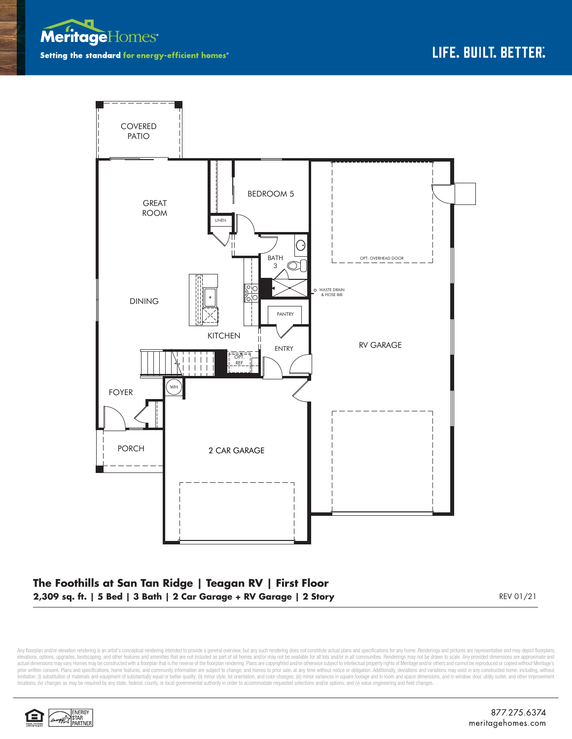



## **The Foothills at San Tan Ridge | Teagan RV | First Floor 2,309 sq. ft. | 5 Bed | 3 Bath | 2 Car Garage + RV Garage | 2 Story** REV 01/21

Any floorplan and/or elevation rendering is an artist's conceptual rendering intended to provide a general overview, but any such rendering does not constitute actual plans and specifications for any home. Renderings and p elevations, options, upgrades, landscaping, and other features and amenities that are not included as part of all homes and/or may not be available for all lots and/or in all communities. Renderings may not be drawn to sca limitation: (i) substitution of materials and equipment of substantially equal or better quality; (ii) minor style, lot orientation, and color changes; (iii) minor variances in square footage and in room and space dimensio locations; (iv) changes as may be required by any state, federal, county, or local governmental authority in order to accommodate requested selections and/or options; and (v) value engineering and field changes.